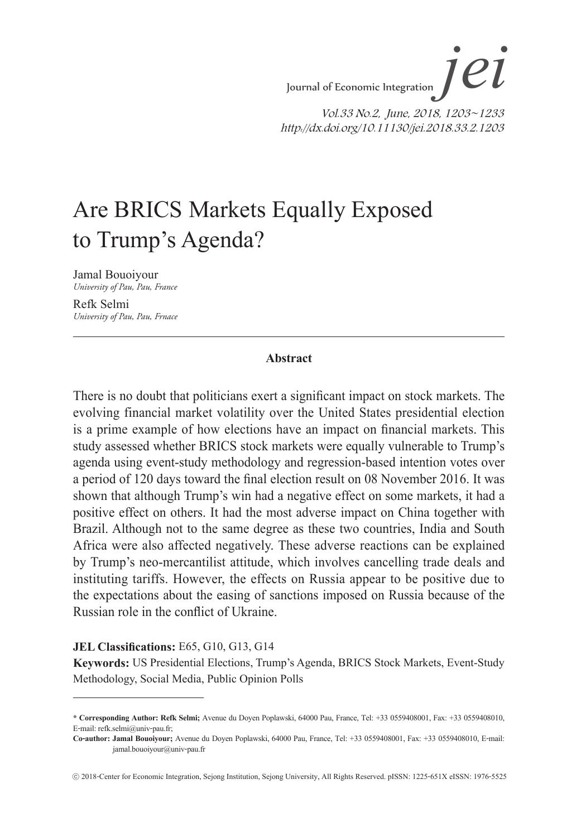# Are BRICS Markets Equally Exposed to Trump's Agenda?

Jamal Bouoiyour *University of Pau, Pau, France* 

Refk Selmi *University of Pau, Pau, Frnace*

#### **Abstract**

There is no doubt that politicians exert a significant impact on stock markets. The evolving financial market volatility over the United States presidential election is a prime example of how elections have an impact on financial markets. This study assessed whether BRICS stock markets were equally vulnerable to Trump's agenda using event-study methodology and regression-based intention votes over a period of 120 days toward the final election result on 08 November 2016. It was shown that although Trump's win had a negative effect on some markets, it had a positive effect on others. It had the most adverse impact on China together with Brazil. Although not to the same degree as these two countries, India and South Africa were also affected negatively. These adverse reactions can be explained by Trump's neo-mercantilist attitude, which involves cancelling trade deals and instituting tariffs. However, the effects on Russia appear to be positive due to the expectations about the easing of sanctions imposed on Russia because of the Russian role in the conflict of Ukraine.

#### **JEL Classifications:** E65, G10, G13, G14

**Keywords:** US Presidential Elections, Trump's Agenda, BRICS Stock Markets, Event-Study Methodology, Social Media, Public Opinion Polls

**<sup>\*</sup> Corresponding Author: Refk Selmi;** Avenue du Doyen Poplawski, 64000 Pau, France, Tel: +33 0559408001, Fax: +33 0559408010, E-mail: refk.selmi@univ-pau.fr;

**Co-author: Jamal Bouoiyour;** Avenue du Doyen Poplawski, 64000 Pau, France, Tel: +33 0559408001, Fax: +33 0559408010, E-mail: jamal.bouoiyour@univ-pau.fr

<sup>ⓒ</sup> 2018-Center for Economic Integration, Sejong Institution, Sejong University, All Rights Reserved. pISSN: 1225-651X eISSN: 1976-5525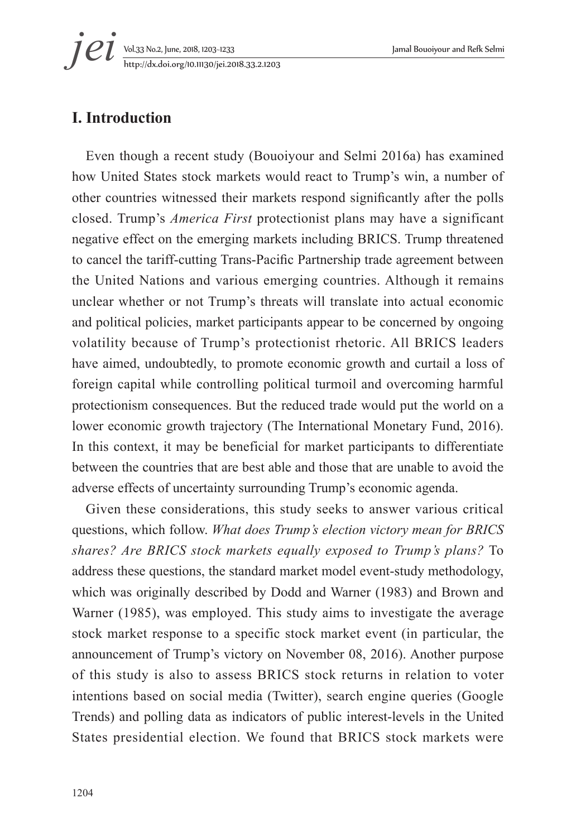Vol.33 No.2, June, 2018, 1203~1233 Jamal Bouoiyour and Refk Selmi *i et yol.33 No.2, June, 2018, 1203-1233*<br>*http://dx.doi.org/10.11130/jei.2018.33.2.1203* 

## **I. Introduction**

Even though a recent study (Bouoiyour and Selmi 2016a) has examined how United States stock markets would react to Trump's win, a number of other countries witnessed their markets respond significantly after the polls closed. Trump's *America First* protectionist plans may have a significant negative effect on the emerging markets including BRICS. Trump threatened to cancel the tariff-cutting Trans-Pacific Partnership trade agreement between the United Nations and various emerging countries. Although it remains unclear whether or not Trump's threats will translate into actual economic and political policies, market participants appear to be concerned by ongoing volatility because of Trump's protectionist rhetoric. All BRICS leaders have aimed, undoubtedly, to promote economic growth and curtail a loss of foreign capital while controlling political turmoil and overcoming harmful protectionism consequences. But the reduced trade would put the world on a lower economic growth trajectory (The International Monetary Fund, 2016). In this context, it may be beneficial for market participants to differentiate between the countries that are best able and those that are unable to avoid the adverse effects of uncertainty surrounding Trump's economic agenda.

Given these considerations, this study seeks to answer various critical questions, which follow. *What does Trump's election victory mean for BRICS shares? Are BRICS stock markets equally exposed to Trump's plans?* To address these questions, the standard market model event-study methodology, which was originally described by Dodd and Warner (1983) and Brown and Warner (1985), was employed. This study aims to investigate the average stock market response to a specific stock market event (in particular, the announcement of Trump's victory on November 08, 2016). Another purpose of this study is also to assess BRICS stock returns in relation to voter intentions based on social media (Twitter), search engine queries (Google Trends) and polling data as indicators of public interest-levels in the United States presidential election. We found that BRICS stock markets were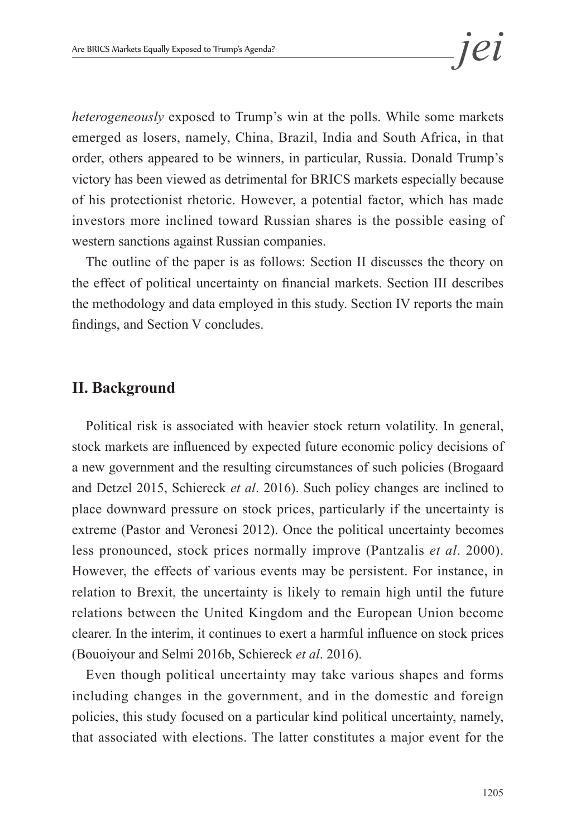*heterogeneously* exposed to Trump's win at the polls. While some markets emerged as losers, namely, China, Brazil, India and South Africa, in that order, others appeared to be winners, in particular, Russia. Donald Trump's victory has been viewed as detrimental for BRICS markets especially because of his protectionist rhetoric. However, a potential factor, which has made investors more inclined toward Russian shares is the possible easing of western sanctions against Russian companies.

The outline of the paper is as follows: Section II discusses the theory on the effect of political uncertainty on financial markets. Section III describes the methodology and data employed in this study. Section IV reports the main findings, and Section V concludes.

### **II. Background**

Political risk is associated with heavier stock return volatility. In general, stock markets are influenced by expected future economic policy decisions of a new government and the resulting circumstances of such policies (Brogaard and Detzel 2015, Schiereck *et al*. 2016). Such policy changes are inclined to place downward pressure on stock prices, particularly if the uncertainty is extreme (Pastor and Veronesi 2012). Once the political uncertainty becomes less pronounced, stock prices normally improve (Pantzalis *et al*. 2000). However, the effects of various events may be persistent. For instance, in relation to Brexit, the uncertainty is likely to remain high until the future relations between the United Kingdom and the European Union become clearer. In the interim, it continues to exert a harmful influence on stock prices (Bouoiyour and Selmi 2016b, Schiereck *et al*. 2016).

Even though political uncertainty may take various shapes and forms including changes in the government, and in the domestic and foreign policies, this study focused on a particular kind political uncertainty, namely, that associated with elections. The latter constitutes a major event for the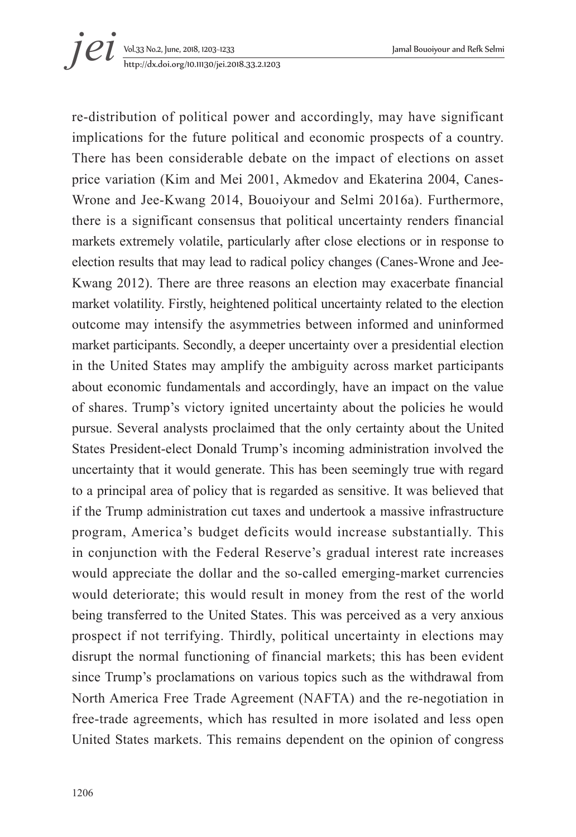# Vol.33 No.2, June, 2018, 1203~1233 Jamal Bouoiyour and Refk Selmi http://dx.doi.org/10.11130/jei.2018.33.2.1203 *jei*

re-distribution of political power and accordingly, may have significant implications for the future political and economic prospects of a country. There has been considerable debate on the impact of elections on asset price variation (Kim and Mei 2001, Akmedov and Ekaterina 2004, Canes-Wrone and Jee-Kwang 2014, Bouoiyour and Selmi 2016a). Furthermore, there is a significant consensus that political uncertainty renders financial markets extremely volatile, particularly after close elections or in response to election results that may lead to radical policy changes (Canes-Wrone and Jee-Kwang 2012). There are three reasons an election may exacerbate financial market volatility. Firstly, heightened political uncertainty related to the election outcome may intensify the asymmetries between informed and uninformed market participants. Secondly, a deeper uncertainty over a presidential election in the United States may amplify the ambiguity across market participants about economic fundamentals and accordingly, have an impact on the value of shares. Trump's victory ignited uncertainty about the policies he would pursue. Several analysts proclaimed that the only certainty about the United States President-elect Donald Trump's incoming administration involved the uncertainty that it would generate. This has been seemingly true with regard to a principal area of policy that is regarded as sensitive. It was believed that if the Trump administration cut taxes and undertook a massive infrastructure program, America's budget deficits would increase substantially. This in conjunction with the Federal Reserve's gradual interest rate increases would appreciate the dollar and the so-called emerging-market currencies would deteriorate; this would result in money from the rest of the world being transferred to the United States. This was perceived as a very anxious prospect if not terrifying. Thirdly, political uncertainty in elections may disrupt the normal functioning of financial markets; this has been evident since Trump's proclamations on various topics such as the withdrawal from North America Free Trade Agreement (NAFTA) and the re-negotiation in free-trade agreements, which has resulted in more isolated and less open United States markets. This remains dependent on the opinion of congress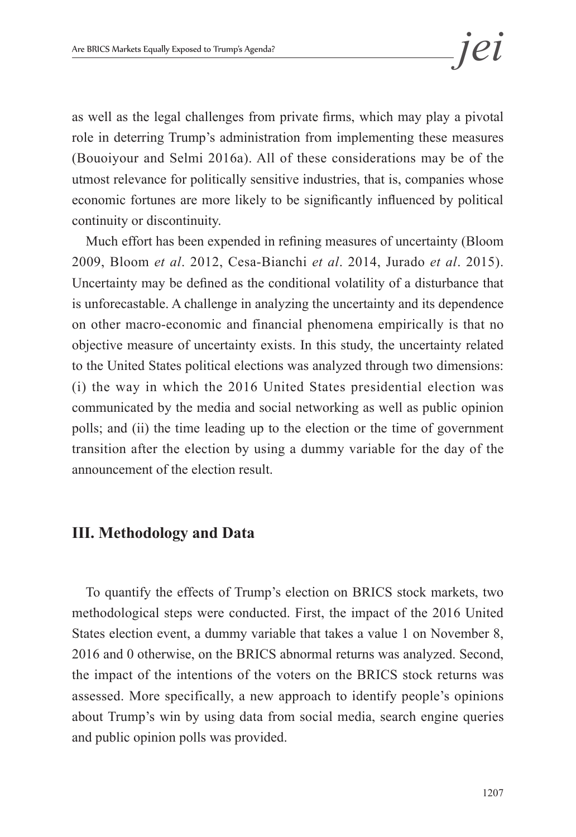as well as the legal challenges from private firms, which may play a pivotal role in deterring Trump's administration from implementing these measures (Bouoiyour and Selmi 2016a). All of these considerations may be of the utmost relevance for politically sensitive industries, that is, companies whose economic fortunes are more likely to be significantly influenced by political continuity or discontinuity.

Much effort has been expended in refining measures of uncertainty (Bloom 2009, Bloom *et al*. 2012, Cesa-Bianchi *et al*. 2014, Jurado *et al*. 2015). Uncertainty may be defined as the conditional volatility of a disturbance that is unforecastable. A challenge in analyzing the uncertainty and its dependence on other macro-economic and financial phenomena empirically is that no objective measure of uncertainty exists. In this study, the uncertainty related to the United States political elections was analyzed through two dimensions: (i) the way in which the 2016 United States presidential election was communicated by the media and social networking as well as public opinion polls; and (ii) the time leading up to the election or the time of government transition after the election by using a dummy variable for the day of the announcement of the election result.

### **III. Methodology and Data**

To quantify the effects of Trump's election on BRICS stock markets, two methodological steps were conducted. First, the impact of the 2016 United States election event, a dummy variable that takes a value 1 on November 8, 2016 and 0 otherwise, on the BRICS abnormal returns was analyzed. Second, the impact of the intentions of the voters on the BRICS stock returns was assessed. More specifically, a new approach to identify people's opinions about Trump's win by using data from social media, search engine queries and public opinion polls was provided.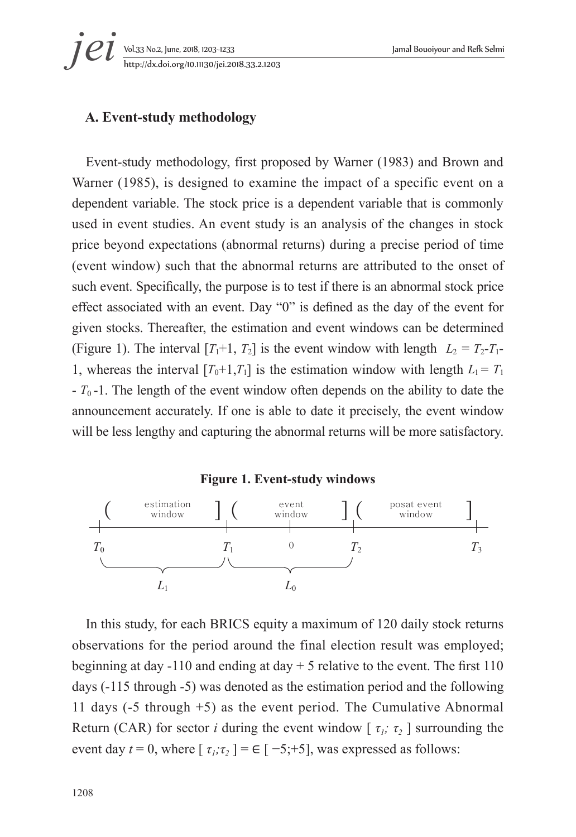*i et yol.33 No.2, June, 2018, 1203-1233*<br>*http://dx.doi.org/10.11130/jei.2018.33.2.1203* 

#### **A. Event-study methodology**

Event-study methodology, first proposed by Warner (1983) and Brown and Warner (1985), is designed to examine the impact of a specific event on a dependent variable. The stock price is a dependent variable that is commonly used in event studies. An event study is an analysis of the changes in stock price beyond expectations (abnormal returns) during a precise period of time (event window) such that the abnormal returns are attributed to the onset of such event. Specifically, the purpose is to test if there is an abnormal stock price effect associated with an event. Day "0" is defined as the day of the event for given stocks. Thereafter, the estimation and event windows can be determined (Figure 1). The interval  $[T_1+1, T_2]$  is the event window with length  $L_2 = T_2 - T_1$ -1, whereas the interval  $[T_0+1,T_1]$  is the estimation window with length  $L_1 = T_1$ - *T*0 -1. The length of the event window often depends on the ability to date the announcement accurately. If one is able to date it precisely, the event window will be less lengthy and capturing the abnormal returns will be more satisfactory.

#### **Figure 1. Event-study windows**



In this study, for each BRICS equity a maximum of 120 daily stock returns observations for the period around the final election result was employed; beginning at day -110 and ending at day  $+5$  relative to the event. The first 110 days (-115 through -5) was denoted as the estimation period and the following 11 days (-5 through +5) as the event period. The Cumulative Abnormal Return (CAR) for sector *i* during the event window  $\lceil \tau_i, \tau_2 \rceil$  surrounding the event day  $t = 0$ , where  $\lceil \tau_1, \tau_2 \rceil = \frac{\epsilon}{7} - 5; +5$ , was expressed as follows: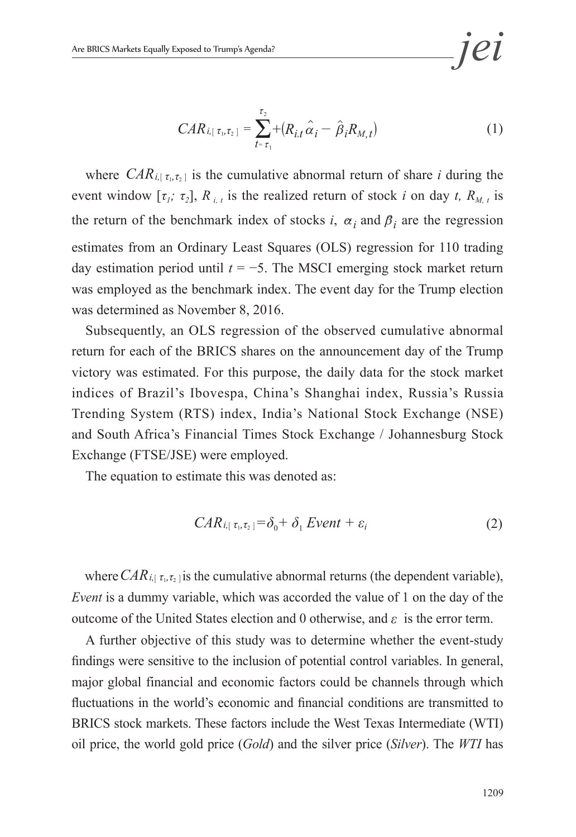$$
CAR_{i,[\tau_1,\tau_2]} = \sum_{t=\tau_1}^{\tau_2} + (R_{i,t}\hat{\alpha}_i - \hat{\beta}_i R_{M,t})
$$
(1)

where  $CAR_{i[\tau_i, \tau_2]}$  is the cumulative abnormal return of share *i* during the event window  $[\tau_i; \tau_2]$ ,  $R_{i,t}$  is the realized return of stock *i* on day *t*,  $R_{M, t}$  is the return of the benchmark index of stocks *i*,  $\alpha_i$  and  $\beta_i$  are the regression estimates from an Ordinary Least Squares (OLS) regression for 110 trading day estimation period until *t* = −5. The MSCI emerging stock market return was employed as the benchmark index. The event day for the Trump election was determined as November 8, 2016.

Subsequently, an OLS regression of the observed cumulative abnormal return for each of the BRICS shares on the announcement day of the Trump victory was estimated. For this purpose, the daily data for the stock market indices of Brazil's Ibovespa, China's Shanghai index, Russia's Russia Trending System (RTS) index, India's National Stock Exchange (NSE) and South Africa's Financial Times Stock Exchange / Johannesburg Stock Exchange (FTSE/JSE) were employed.

The equation to estimate this was denoted as:

$$
CAR_{i,[\tau_1,\tau_2]} = \delta_0 + \delta_1 Event + \varepsilon_i
$$
 (2)

where  $CAR_{i,[\tau_1,\tau_2]}$  is the cumulative abnormal returns (the dependent variable), *Event* is a dummy variable, which was accorded the value of 1 on the day of the outcome of the United States election and 0 otherwise, and *ε* is the error term.

A further objective of this study was to determine whether the event-study findings were sensitive to the inclusion of potential control variables. In general, major global financial and economic factors could be channels through which fluctuations in the world's economic and financial conditions are transmitted to BRICS stock markets. These factors include the West Texas Intermediate (WTI) oil price, the world gold price (*Gold*) and the silver price (*Silver*). The *WTI* has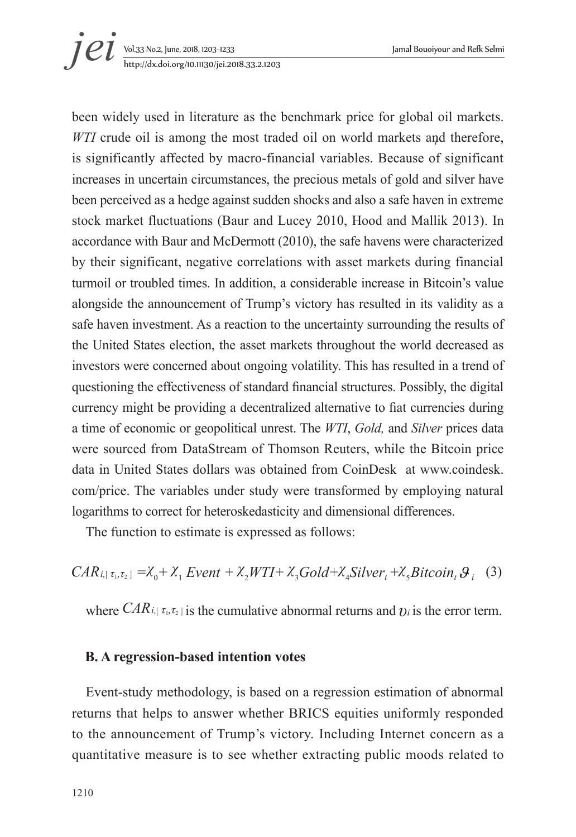

been widely used in literature as the benchmark price for global oil markets. *WTI* crude oil is among the most traded oil on world markets and therefore, is significantly affected by macro-financial variables. Because of significant increases in uncertain circumstances, the precious metals of gold and silver have been perceived as a hedge against sudden shocks and also a safe haven in extreme stock market fluctuations (Baur and Lucey 2010, Hood and Mallik 2013). In accordance with Baur and McDermott (2010), the safe havens were characterized by their significant, negative correlations with asset markets during financial turmoil or troubled times. In addition, a considerable increase in Bitcoin's value alongside the announcement of Trump's victory has resulted in its validity as a safe haven investment. As a reaction to the uncertainty surrounding the results of the United States election, the asset markets throughout the world decreased as investors were concerned about ongoing volatility. This has resulted in a trend of questioning the effectiveness of standard financial structures. Possibly, the digital currency might be providing a decentralized alternative to fiat currencies during a time of economic or geopolitical unrest. The *WTI*, *Gold,* and *Silver* prices data were sourced from DataStream of Thomson Reuters, while the Bitcoin price data in United States dollars was obtained from CoinDesk at www.coindesk. com/price. The variables under study were transformed by employing natural logarithms to correct for heteroskedasticity and dimensional differences.

The function to estimate is expressed as follows:

$$
CAR_{i,[\tau_1,\tau_2]} = X_0 + X_1 Event + X_2WTI + X_3Gold + X_4 Silver_t + X_5Bitcoin_t \mathcal{G}_i
$$
 (3)

where  $CAR_{i,[\tau_i, \tau_2]}$  is the cumulative abnormal returns and  $v_i$  is the error term.

#### **B. A regression-based intention votes**

Event-study methodology, is based on a regression estimation of abnormal returns that helps to answer whether BRICS equities uniformly responded to the announcement of Trump's victory. Including Internet concern as a quantitative measure is to see whether extracting public moods related to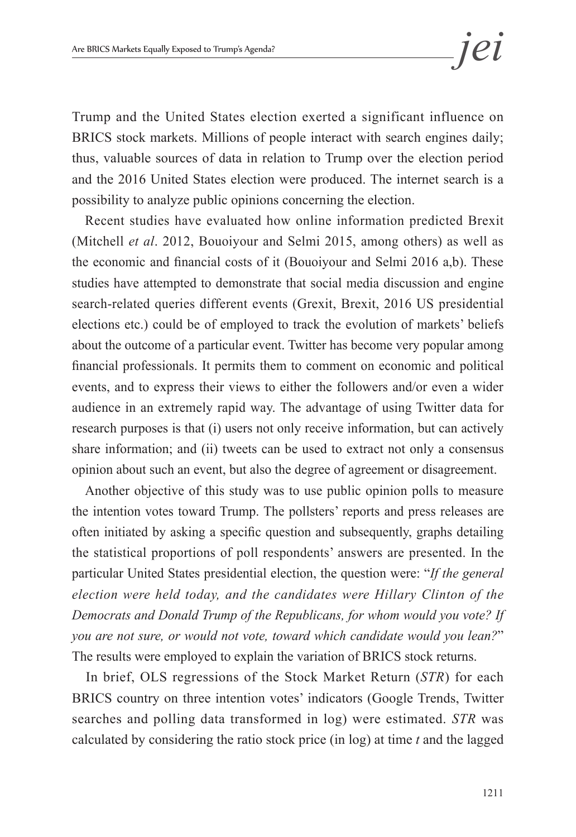Trump and the United States election exerted a significant influence on BRICS stock markets. Millions of people interact with search engines daily; thus, valuable sources of data in relation to Trump over the election period and the 2016 United States election were produced. The internet search is a possibility to analyze public opinions concerning the election.

Recent studies have evaluated how online information predicted Brexit (Mitchell *et al*. 2012, Bouoiyour and Selmi 2015, among others) as well as the economic and financial costs of it (Bouoiyour and Selmi 2016 a,b). These studies have attempted to demonstrate that social media discussion and engine search-related queries different events (Grexit, Brexit, 2016 US presidential elections etc.) could be of employed to track the evolution of markets' beliefs about the outcome of a particular event. Twitter has become very popular among financial professionals. It permits them to comment on economic and political events, and to express their views to either the followers and/or even a wider audience in an extremely rapid way. The advantage of using Twitter data for research purposes is that (i) users not only receive information, but can actively share information; and (ii) tweets can be used to extract not only a consensus opinion about such an event, but also the degree of agreement or disagreement.

Another objective of this study was to use public opinion polls to measure the intention votes toward Trump. The pollsters' reports and press releases are often initiated by asking a specific question and subsequently, graphs detailing the statistical proportions of poll respondents' answers are presented. In the particular United States presidential election, the question were: "*If the general election were held today, and the candidates were Hillary Clinton of the Democrats and Donald Trump of the Republicans, for whom would you vote? If you are not sure, or would not vote, toward which candidate would you lean?*" The results were employed to explain the variation of BRICS stock returns.

In brief, OLS regressions of the Stock Market Return (*STR*) for each BRICS country on three intention votes' indicators (Google Trends, Twitter searches and polling data transformed in log) were estimated. *STR* was calculated by considering the ratio stock price (in log) at time *t* and the lagged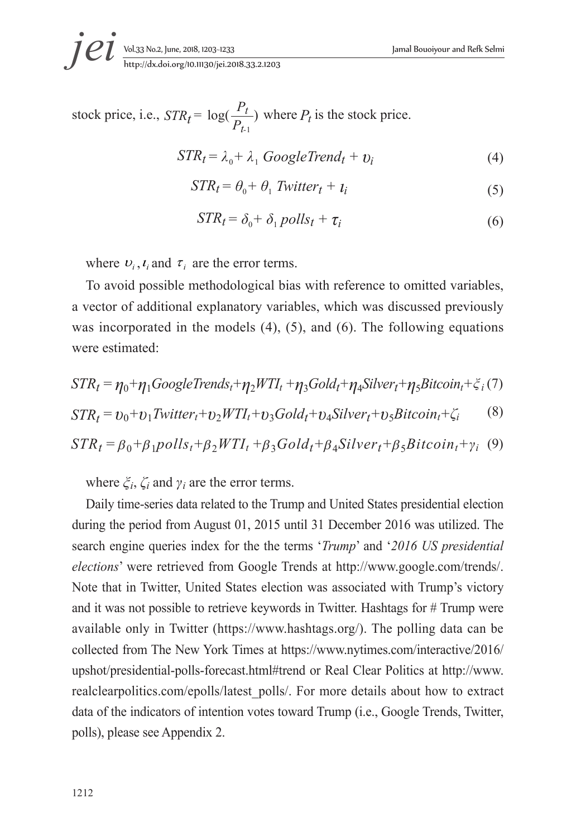Vol.33 No.2, June, 2018, 1203~1233 Jamal Bouoiyour and Refk Selmi *i et yol.33 No.2, June, 2018, 1203-1233*<br>*http://dx.doi.org/10.11130/jei.2018.33.2.1203* 

stock price, i.e., 
$$
STR_t = \log(\frac{P_t}{P_{t-1}})
$$
 where  $P_t$  is the stock price.

$$
STR_t = \lambda_0 + \lambda_1 \ GoogleTrend_t + v_i \tag{4}
$$

$$
STR_t = \theta_0 + \theta_1 \text{ Twitter}_t + t_i \tag{5}
$$

$$
STR_t = \delta_0 + \delta_1 \, polls_t + \tau_i \tag{6}
$$

where  $v_i$ ,  $t_i$  and  $\tau_i$  are the error terms.

To avoid possible methodological bias with reference to omitted variables, a vector of additional explanatory variables, which was discussed previously was incorporated in the models (4), (5), and (6). The following equations were estimated:

$$
STR_t = \eta_0 + \eta_1 Google Trends_t + \eta_2 WTI_t + \eta_3 Gold_t + \eta_4 Silver_t + \eta_5 Bitcoin_t + \xi_i(7)
$$

$$
STR_t = v_0 + v_1 \text{Twitter}_t + v_2 \text{WTI}_t + v_3 \text{Gold}_t + v_4 \text{Silver}_t + v_5 \text{Bitcoin}_t + \zeta_i \tag{8}
$$

$$
STR_t = \beta_0 + \beta_1 polls_t + \beta_2 WTI_t + \beta_3 Gold_t + \beta_4 Silver_t + \beta_5 Bitcoin_t + \gamma_i
$$
 (9)

where  $\zeta_i$ ,  $\zeta_i$  and  $\gamma_i$  are the error terms.

Daily time-series data related to the Trump and United States presidential election during the period from August 01, 2015 until 31 December 2016 was utilized. The search engine queries index for the the terms '*Trump*' and '*2016 US presidential elections*' were retrieved from Google Trends at http://www.google.com/trends/. Note that in Twitter, United States election was associated with Trump's victory and it was not possible to retrieve keywords in Twitter. Hashtags for # Trump were available only in Twitter (https://www.hashtags.org/). The polling data can be collected from The New York Times at https://www.nytimes.com/interactive/2016/ upshot/presidential-polls-forecast.html#trend or Real Clear Politics at http://www. realclearpolitics.com/epolls/latest\_polls/. For more details about how to extract data of the indicators of intention votes toward Trump (i.e., Google Trends, Twitter, polls), please see Appendix 2.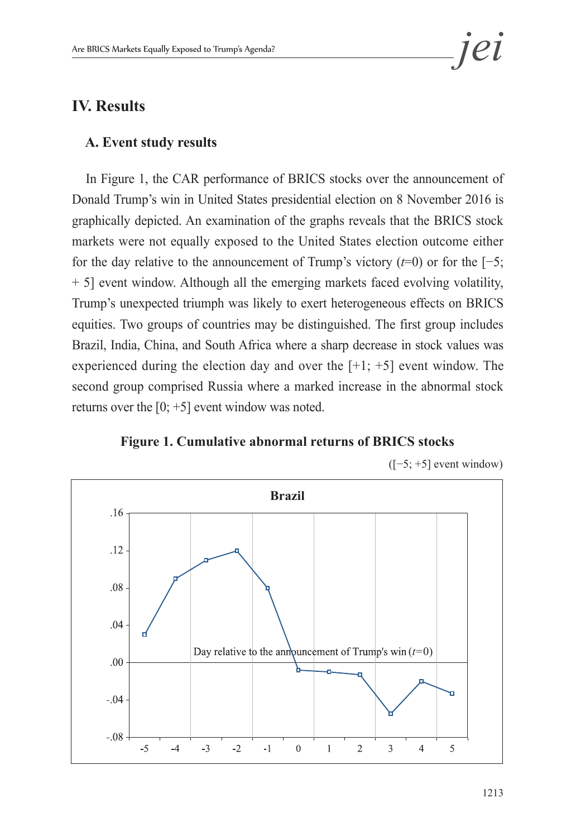

## **IV. Results**

#### **A. Event study results**

In Figure 1, the CAR performance of BRICS stocks over the announcement of Donald Trump's win in United States presidential election on 8 November 2016 is graphically depicted. An examination of the graphs reveals that the BRICS stock markets were not equally exposed to the United States election outcome either for the day relative to the announcement of Trump's victory (*t*=0) or for the [−5; + 5] event window. Although all the emerging markets faced evolving volatility, Trump's unexpected triumph was likely to exert heterogeneous effects on BRICS equities. Two groups of countries may be distinguished. The first group includes Brazil, India, China, and South Africa where a sharp decrease in stock values was experienced during the election day and over the  $[+1; +5]$  event window. The second group comprised Russia where a marked increase in the abnormal stock returns over the  $[0; +5]$  event window was noted.



**Figure 1. Cumulative abnormal returns of BRICS stocks**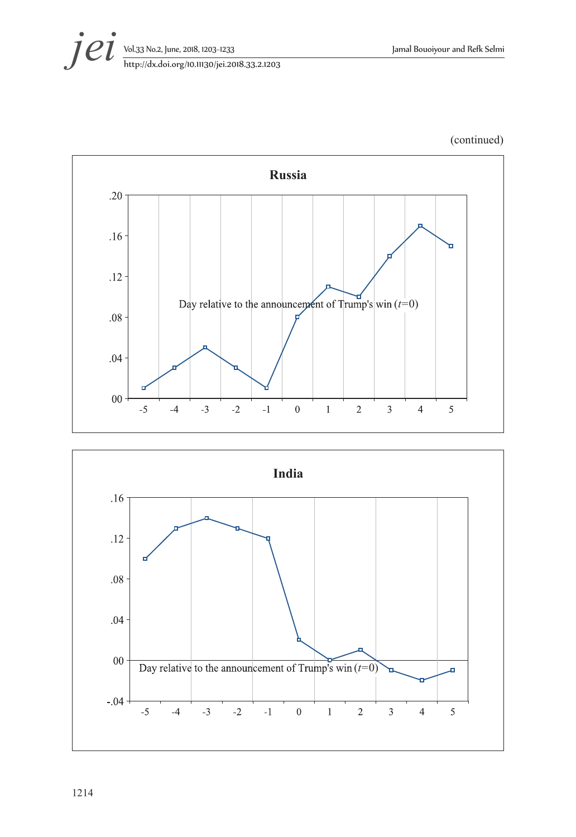

(continued)



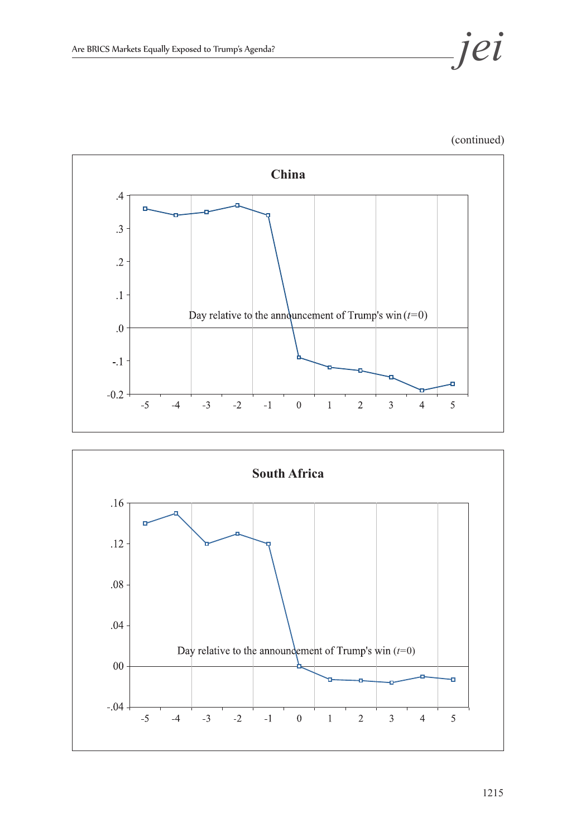





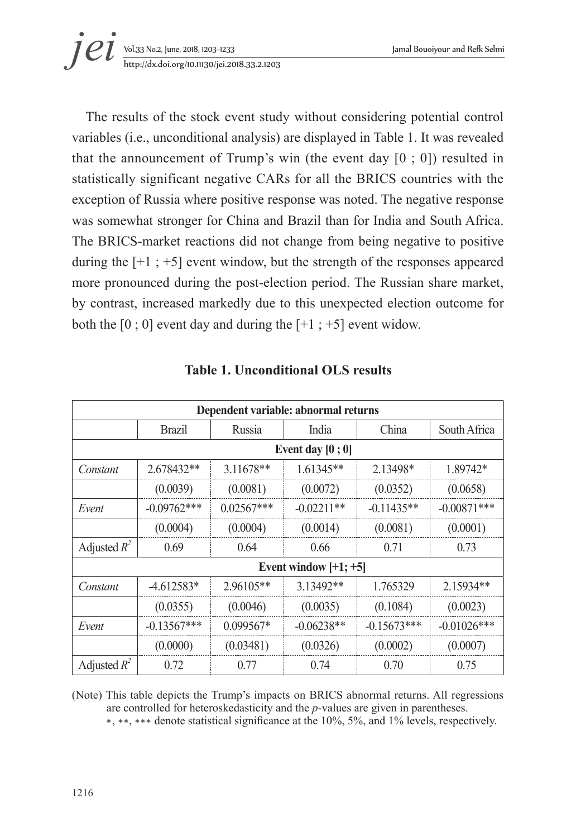

The results of the stock event study without considering potential control variables (i.e., unconditional analysis) are displayed in Table 1. It was revealed that the announcement of Trump's win (the event day  $[0, 0]$ ) resulted in statistically significant negative CARs for all the BRICS countries with the exception of Russia where positive response was noted. The negative response was somewhat stronger for China and Brazil than for India and South Africa. The BRICS-market reactions did not change from being negative to positive during the  $[-1; +5]$  event window, but the strength of the responses appeared more pronounced during the post-election period. The Russian share market, by contrast, increased markedly due to this unexpected election outcome for both the  $[0, 0]$  event day and during the  $[+1, +5]$  event widow.

|                |               |              | Dependent variable: abnormal returns |               |                |
|----------------|---------------|--------------|--------------------------------------|---------------|----------------|
|                | <b>Brazil</b> | Russia       | India                                | China         | South Africa   |
|                |               |              | Event day $[0, 0]$                   |               |                |
| Constant       | 2.678432**    | 3.11678**    | 1.61345**                            | 2.13498*      | 1.89742*       |
|                | (0.0039)      | (0.0081)     | (0.0072)                             | (0.0352)      | (0.0658)       |
| Event          | $-0.09762***$ | $0.02567***$ | $-0.02211**$                         | $-0.11435**$  | $-0.00871***$  |
|                | (0.0004)      | (0.0004)     | (0.0014)                             | (0.0081)      | (0.0001)       |
| Adjusted $R^2$ | 0.69          | 0.64         | 0.66                                 | 0.71          | 0.73           |
|                |               |              | Event window $[+1; +5]$              |               |                |
| Constant       | $-4.612583*$  | 2.96105**    | 3.13492**                            | 1.765329      | 2.15934**      |
|                | (0.0355)      | (0.0046)     | (0.0035)                             | (0.1084)      | (0.0023)       |
| Event          | $-0.13567***$ | 0.099567*    | $-0.06238**$                         | $-0.15673***$ | $-0.01026$ *** |
|                | (0.0000)      | (0.03481)    | (0.0326)                             | (0.0002)      | (0.0007)       |
| Adjusted $R^2$ | 0.72          | 0.77         | 0.74                                 | 0.70          | 0.75           |

#### **Table 1. Unconditional OLS results**

(Note) This table depicts the Trump's impacts on BRICS abnormal returns. All regressions are controlled for heteroskedasticity and the *p*-values are given in parentheses.

∗, ∗∗, ∗∗∗ denote statistical significance at the 10%, 5%, and 1% levels, respectively.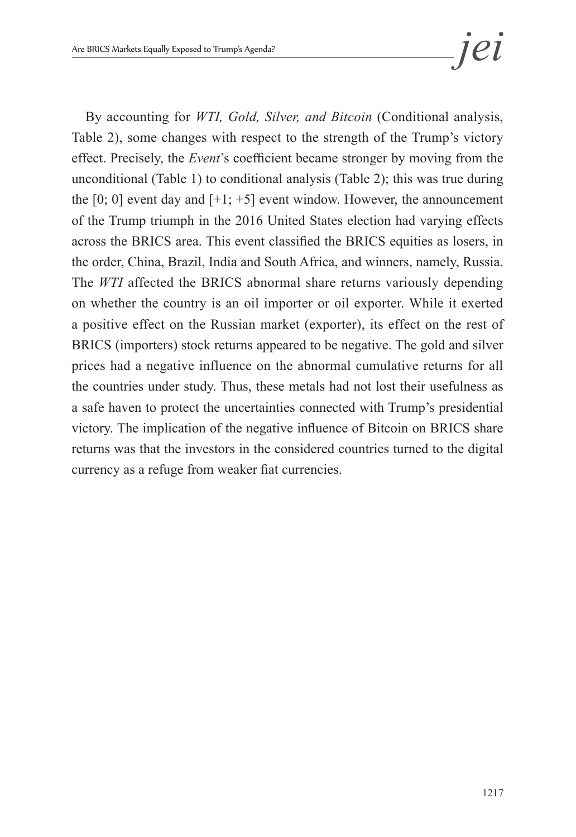By accounting for *WTI, Gold, Silver, and Bitcoin* (Conditional analysis, Table 2), some changes with respect to the strength of the Trump's victory effect. Precisely, the *Event*'s coefficient became stronger by moving from the unconditional (Table 1) to conditional analysis (Table 2); this was true during the  $[0; 0]$  event day and  $[+1; +5]$  event window. However, the announcement of the Trump triumph in the 2016 United States election had varying effects across the BRICS area. This event classified the BRICS equities as losers, in the order, China, Brazil, India and South Africa, and winners, namely, Russia. The *WTI* affected the BRICS abnormal share returns variously depending on whether the country is an oil importer or oil exporter. While it exerted a positive effect on the Russian market (exporter), its effect on the rest of BRICS (importers) stock returns appeared to be negative. The gold and silver prices had a negative influence on the abnormal cumulative returns for all the countries under study. Thus, these metals had not lost their usefulness as a safe haven to protect the uncertainties connected with Trump's presidential victory. The implication of the negative influence of Bitcoin on BRICS share returns was that the investors in the considered countries turned to the digital currency as a refuge from weaker fiat currencies.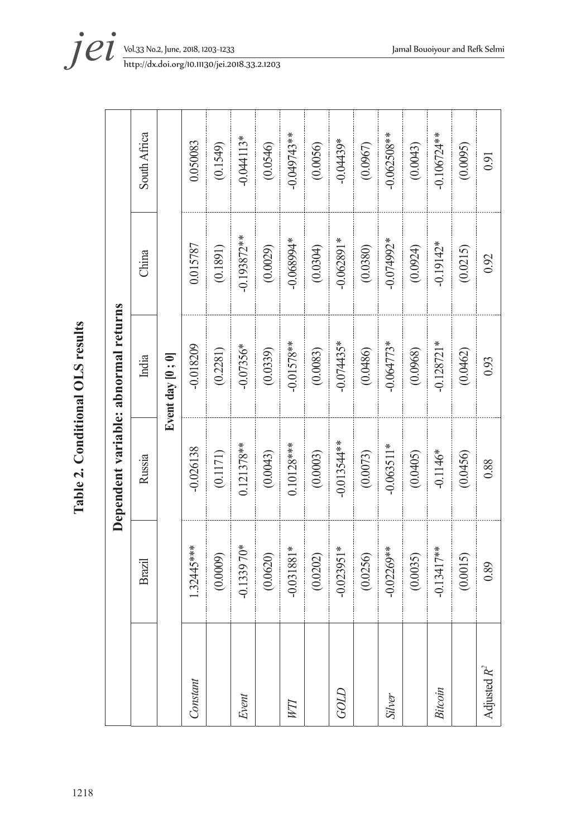| $\frac{1}{2}$                |  |
|------------------------------|--|
| $\overline{1112}$<br>Table 2 |  |
|                              |  |
|                              |  |
| 1218                         |  |

|                                      | South Africa |                  | 0.050083    | (0.1549) | $-0.044113*$  | (0.0546) | -0.049743**  | (0.0056) | $-0.04439*$   | (0.0967) | -0.062508**   | (0.0043) | $-0.106724**$ | (0.0095) | 0.91           |
|--------------------------------------|--------------|------------------|-------------|----------|---------------|----------|--------------|----------|---------------|----------|---------------|----------|---------------|----------|----------------|
|                                      | China        |                  | 0.015787    | (0.1891) | $-0.193872**$ | (0.0029) | +166890.0    | (0.0304) | $-0.062891*$  | (0.0380) | -0.074992*    | (0.0924) | $-0.19142*$   | (0.0215) | 0.92           |
|                                      | India        | Event day [0; 0] | $-0.018209$ | (0.2281) | $-0.07356*$   | (0.0339) | $-0.01578**$ | (0.0083) | $-0.074435*$  | (0.0486) | $-0.064773*$  | (0.0968) | $-0.128721*$  | (0.0462) | 0.93           |
| Dependent variable: abnormal returns | Russia       |                  | $-0.026138$ | (0.1171) | $0.121378**$  | (0.0043) | $0.10128***$ | (0.0003) | $-0.013544**$ | (0.0073) | $-0.063511*$  | (0.0405) | $-0.1146*$    | (0.0456) | 0.88           |
|                                      | Brazil       |                  | 1.32445***  | (0.0009) | $-0.133970*$  | (0.0620) | $-0.031881*$ | (0.0202) | $-0.023951*$  | (0.0256) | $-0.02269**$  | (0.0035) | $-0.13417**$  | (0.0015) | 0.89           |
|                                      |              |                  | Constant    |          | Event         |          | VП           |          | GOLD          |          | <b>Silver</b> |          | Bitcoin       |          | Adjusted $R^2$ |

*i et yol.33 No.2, June, 2018, 1203-1233*<br>*http://dx.doi.org/10.11130/jei.2018.33.2.1203*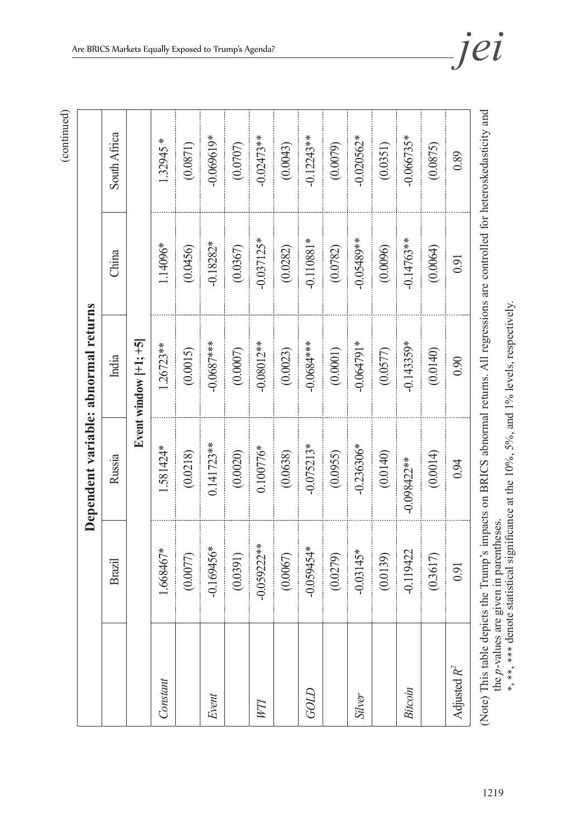|                |               | Dependent variable: abnormal returns                                                                                               |                         |              |              |
|----------------|---------------|------------------------------------------------------------------------------------------------------------------------------------|-------------------------|--------------|--------------|
|                | Brazil        | Russia                                                                                                                             | India                   | China        | South Africa |
|                |               |                                                                                                                                    | Event window $ +1; +5 $ |              |              |
| Constant       | 1.668467*     | 1.581424*                                                                                                                          | $1.26723**$             | 1.14096*     | $1.32945*$   |
|                | (0.0077)      | (0.0218)                                                                                                                           | (0.0015)                | (0.0456)     | (0.0871)     |
| Event          | $-0.169456*$  | $0.141723**$                                                                                                                       | $-0.0687***$            | $-0.18282*$  | $-0.069619*$ |
|                | (0.0391)      | (0.0020)                                                                                                                           | (0.0007)                | (0.0367)     | (0.0707)     |
| FМ             | $-0.059222**$ | $0.100776*$                                                                                                                        | $-0.08012**$            | $-0.037125*$ | $-0.02473**$ |
|                | (0.0067)      | (0.0638)                                                                                                                           | (0.0023)                | (0.0282)     | (0.0043)     |
| $GOLD$         | $-0.059454*$  | $-0.075213*$                                                                                                                       | $-0.0684***$            | $-0.110881*$ | $-0.12243**$ |
|                | (0.0279)      | (0.0955)                                                                                                                           | (0.0001)                | (0.0782)     | (0.0079)     |
| <b>Silver</b>  | $-0.03145*$   | $-0.236306*$                                                                                                                       | $-0.064791*$            | -0.05489**   | $-0.020562*$ |
|                | (0.0139)      | (0.0140)                                                                                                                           | (0.0577)                | (0.0096)     | (0.0351)     |
| Bitcoin        | $-0.119422$   | $-0.098422**$                                                                                                                      | $-0.143359*$            | $-0.14763**$ | $-0.066735*$ |
|                | (0.3617)      | (0.0014)                                                                                                                           | (0.0140)                | (0.0064)     | (0.0875)     |
| Adjusted $R^2$ | 0.91          | 0.94                                                                                                                               | 0.90                    | 0.91         | 0.89         |
|                |               | (Note) This table depicts the Trump's impacts on BRICS abnormal returns. All regressions are controlled for heteroskedasticity and |                         |              |              |

the *p*-values are given in parentheses. ∗ , ∗∗ ,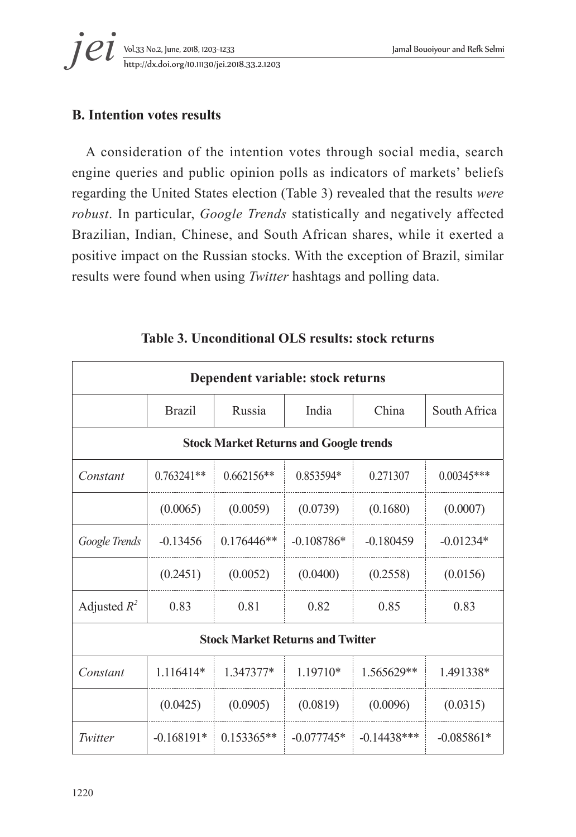## **B. Intention votes results**

A consideration of the intention votes through social media, search engine queries and public opinion polls as indicators of markets' beliefs regarding the United States election (Table 3) revealed that the results *were robust*. In particular, *Google Trends* statistically and negatively affected Brazilian, Indian, Chinese, and South African shares, while it exerted a positive impact on the Russian stocks. With the exception of Brazil, similar results were found when using *Twitter* hashtags and polling data.

|                |               | Dependent variable: stock returns             |              |                |              |
|----------------|---------------|-----------------------------------------------|--------------|----------------|--------------|
|                | <b>Brazil</b> | Russia                                        | India        | China          | South Africa |
|                |               | <b>Stock Market Returns and Google trends</b> |              |                |              |
| Constant       | $0.763241**$  | $0.662156**$                                  | 0.853594*    | 0.271307       | $0.00345***$ |
|                | (0.0065)      | (0.0059)                                      | (0.0739)     | (0.1680)       | (0.0007)     |
| Google Trends  | $-0.13456$    | $0.176446**$                                  | $-0.108786*$ | $-0.180459$    | $-0.01234*$  |
|                | (0.2451)      | (0.0052)                                      | (0.0400)     | (0.2558)       | (0.0156)     |
| Adjusted $R^2$ | 0.83          | 0.81                                          | 0.82         | 0.85           | 0.83         |
|                |               | <b>Stock Market Returns and Twitter</b>       |              |                |              |
| Constant       | 1.116414*     | 1.347377*                                     | 1.19710*     | $1.565629**$   | 1.491338*    |
|                | (0.0425)      | (0.0905)                                      | (0.0819)     | (0.0096)       | (0.0315)     |
| Twitter        | $-0.168191*$  | $0.153365**$                                  | $-0.077745*$ | $-0.14438$ *** | $-0.085861*$ |

**Table 3. Unconditional OLS results: stock returns**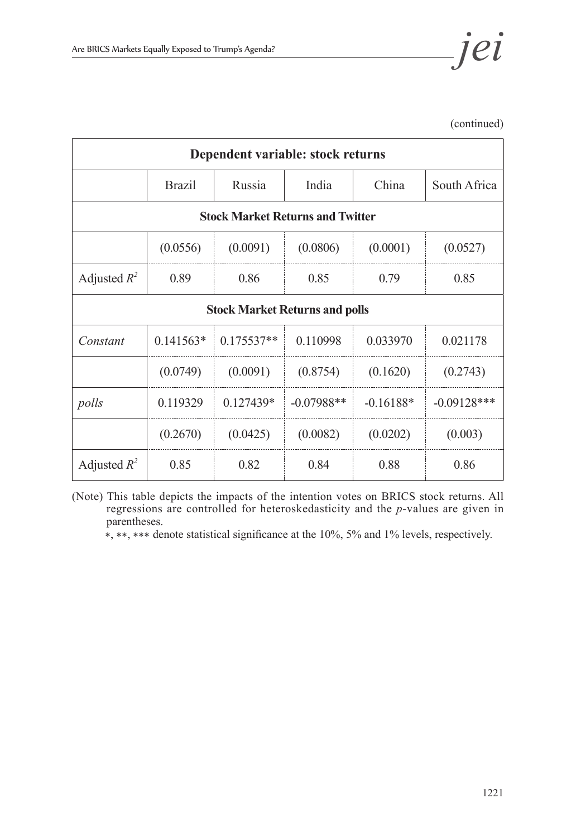

(continued)

|                |               | Dependent variable: stock returns       |              |             |               |
|----------------|---------------|-----------------------------------------|--------------|-------------|---------------|
|                | <b>Brazil</b> | Russia                                  | India        | China       | South Africa  |
|                |               | <b>Stock Market Returns and Twitter</b> |              |             |               |
|                | (0.0556)      | (0.0091)                                | (0.0806)     | (0.0001)    | (0.0527)      |
| Adjusted $R^2$ | 0.89          | 0.86                                    | 0.85         | 0.79        | 0.85          |
|                |               | <b>Stock Market Returns and polls</b>   |              |             |               |
| Constant       | $0.141563*$   | $0.175537**$                            | 0.110998     | 0.033970    | 0.021178      |
|                | (0.0749)      | (0.0091)                                | (0.8754)     | (0.1620)    | (0.2743)      |
| polls          | 0.119329      | $0.127439*$                             | $-0.07988**$ | $-0.16188*$ | $-0.09128***$ |
|                | (0.2670)      | (0.0425)                                | (0.0082)     | (0.0202)    | (0.003)       |
| Adjusted $R^2$ | 0.85          | 0.82                                    | 0.84         | 0.88        | 0.86          |

(Note) This table depicts the impacts of the intention votes on BRICS stock returns. All regressions are controlled for heteroskedasticity and the *p*-values are given in parentheses.

∗, ∗∗, ∗∗∗ denote statistical significance at the 10%, 5% and 1% levels, respectively.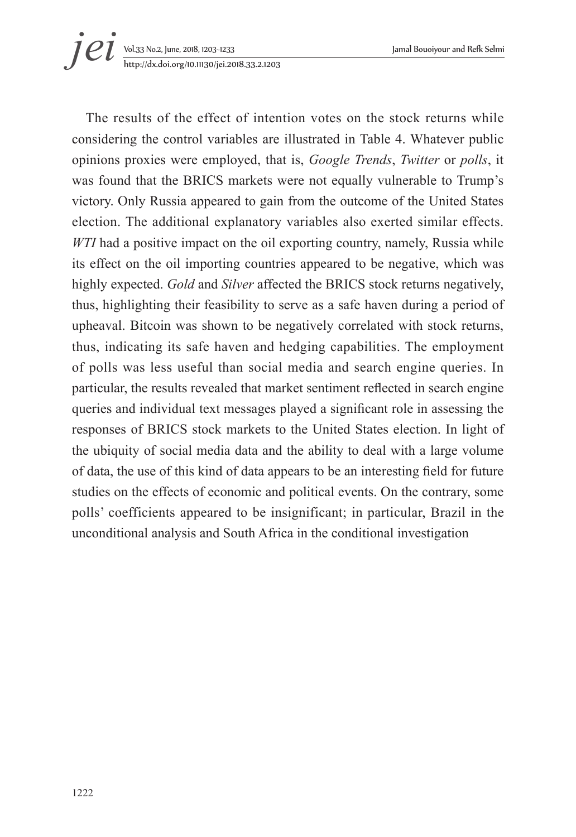

The results of the effect of intention votes on the stock returns while considering the control variables are illustrated in Table 4. Whatever public opinions proxies were employed, that is, *Google Trends*, *Twitter* or *polls*, it was found that the BRICS markets were not equally vulnerable to Trump's victory. Only Russia appeared to gain from the outcome of the United States election. The additional explanatory variables also exerted similar effects. *WTI* had a positive impact on the oil exporting country, namely, Russia while its effect on the oil importing countries appeared to be negative, which was highly expected. *Gold* and *Silver* affected the BRICS stock returns negatively, thus, highlighting their feasibility to serve as a safe haven during a period of upheaval. Bitcoin was shown to be negatively correlated with stock returns, thus, indicating its safe haven and hedging capabilities. The employment of polls was less useful than social media and search engine queries. In particular, the results revealed that market sentiment reflected in search engine queries and individual text messages played a significant role in assessing the responses of BRICS stock markets to the United States election. In light of the ubiquity of social media data and the ability to deal with a large volume of data, the use of this kind of data appears to be an interesting field for future studies on the effects of economic and political events. On the contrary, some polls' coefficients appeared to be insignificant; in particular, Brazil in the unconditional analysis and South Africa in the conditional investigation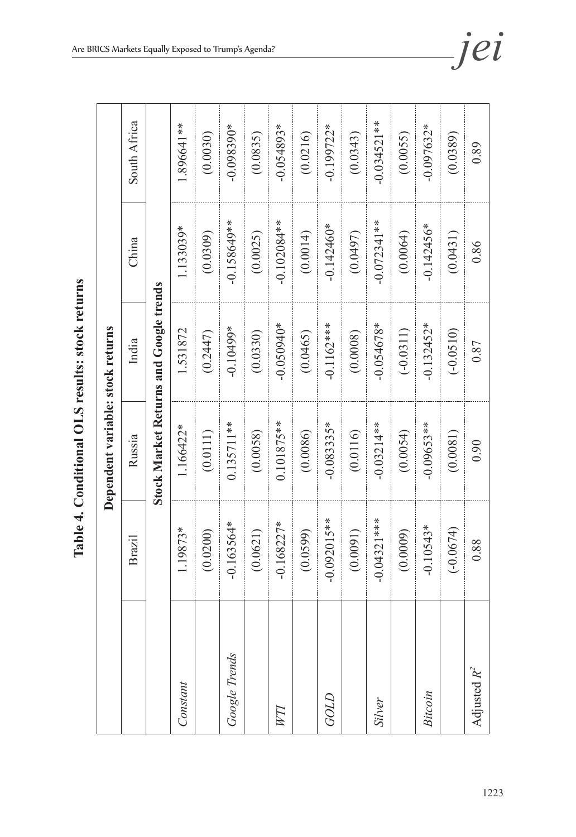| Ĭ                 |  |
|-------------------|--|
| J<br>くらく          |  |
| $\frac{1}{4}$     |  |
| ֜֩֘֩֩֩֩<br>֧֓֜    |  |
| י<br>ו<br>$\zeta$ |  |
|                   |  |

|                |               | Dependent variable: stock returns |                                               |               |               |  |
|----------------|---------------|-----------------------------------|-----------------------------------------------|---------------|---------------|--|
|                | Brazil        | Russia                            | India                                         | China         | South Africa  |  |
|                |               |                                   | <b>Stock Market Returns and Google trends</b> |               |               |  |
| Constant       | 1.19873*      | 1.166422*                         | 1.531872                                      | 1.133039*     | 1.896641**    |  |
|                | (0.0200)      | (0.0111)                          | (0.2447)                                      | (0.0309)      | (0.0030)      |  |
| Google Trends  | $-0.163564*$  | $0.135711**$                      | $-0.10499*$                                   | $-0.158649**$ | $-0.098390*$  |  |
|                | (0.0621)      | (0.0058)                          | (0.0330)                                      | (0.0025)      | (0.0835)      |  |
|                | $-0.168227*$  | $0.101875***$                     | $-0.050940*$                                  | $-0.102084**$ | $-0.054893*$  |  |
|                | (0.0599)      | (0.0086)                          | (0.0465)                                      | (0.0014)      | (0.0216)      |  |
| GOLD           | $-0.092015**$ | $-0.083335*$                      | $-0.1162***$                                  | $-0.142460*$  | $-0.199722*$  |  |
|                | (0.0091)      | (0.0116)                          | (0.0008)                                      | (0.0497)      | (0.0343)      |  |
| Silver         | $-0.04321***$ | $-0.03214**$                      | $-0.054678*$                                  | $-0.072341**$ | $-0.034521**$ |  |
|                | (0.0009)      | (0.0054)                          | $(-0.0311)$                                   | (0.0064)      | (0.0055)      |  |
| Bitcoin        | $-0.10543*$   | $-0.09653**$                      | $-0.132452*$                                  | $-0.142456*$  | $-0.097632*$  |  |
|                | $(-0.0674)$   | (0.0081)                          | $(-0.0510)$                                   | (0.0431)      | (0.0389)      |  |
| Adjusted $R^2$ | 0.88          | 0.90                              | 0.87                                          | 0.86          | 0.89          |  |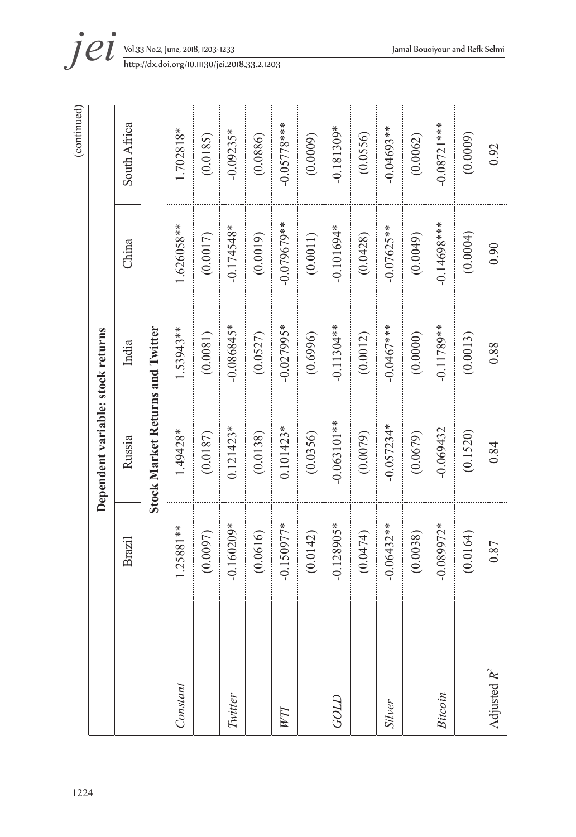|                |              |                                         |               |               | (continued)   |
|----------------|--------------|-----------------------------------------|---------------|---------------|---------------|
|                |              | Dependent variable: stock returns       |               |               |               |
|                | Brazil       | Russia                                  | India         | China         | South Africa  |
|                |              | <b>Stock Market Returns and Twitter</b> |               |               |               |
| Constant       | 1.25881**    | 1.49428*                                | 1.53943**     | 1.626058**    | $1.702818*$   |
|                | (0.0097)     | (0.0187)                                | (0.0081)      | (0.0017)      | (0.0185)      |
| Twitter        | $-0.160209*$ | $0.121423*$                             | $-0.086845*$  | $-0.174548*$  | $-0.09235*$   |
|                | (0.0616)     | (0.0138)                                | (0.0527)      | (0.0019)      | (0.0886)      |
| WП             | $-0.150977*$ | $0.101423*$                             | $-0.027995*$  | $-0.079679**$ | $-0.05778***$ |
|                | (0.0142)     | (0.0356)                                | (0.6996)      | (0.0011)      | (0.0009)      |
| GOLD           | $-0.128905*$ | $-0.063101**$                           | $-0.11304**$  | $-0.101694*$  | $-0.181309*$  |
|                | (0.0474)     | (0.0079)                                | (0.0012)      | (0.0428)      | (0.0556)      |
| Silver         | $-0.06432**$ | $-0.057234*$                            | $-0.0467$ *** | $-0.07625**$  | $-0.04693**$  |
|                | (0.0038)     | (0.0679)                                | (0.0000)      | (0.0049)      | (0.0062)      |
| Bitcoin        | $-0.089972*$ | $-0.069432$                             | $-0.11789**$  | $-0.14698***$ | $-0.08721***$ |
|                | (0.0164)     | (0.1520)                                | (0.0013)      | (0.0004)      | (0.0009)      |
| Adjusted $R^2$ | 0.87         | 0.84                                    | 0.88          | 0.90          | 0.92          |

1224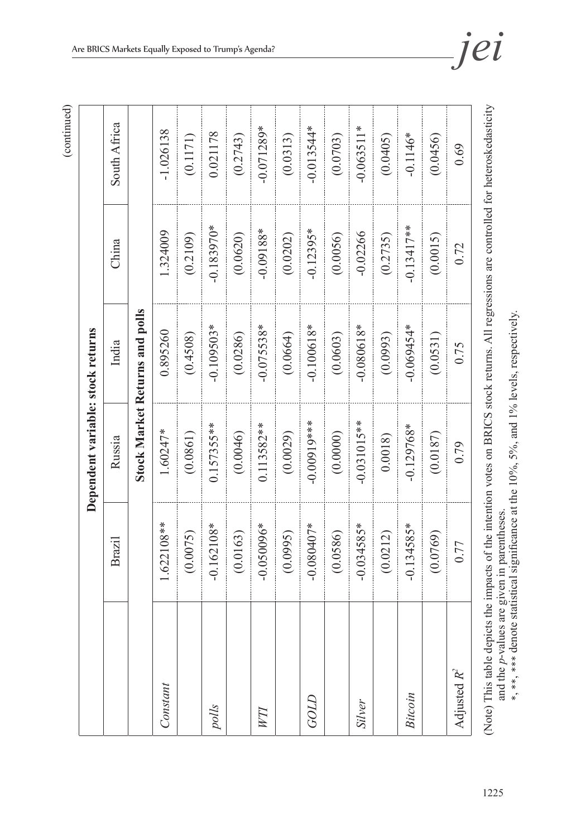|                          |                                                                                                                  | Dependent variable: stock returns |                                       |              |              |
|--------------------------|------------------------------------------------------------------------------------------------------------------|-----------------------------------|---------------------------------------|--------------|--------------|
|                          | Brazil                                                                                                           | Russia                            | India                                 | China        | South Africa |
|                          |                                                                                                                  |                                   | <b>Stock Market Returns and polls</b> |              |              |
| Constant                 | 1.622108**                                                                                                       | 1.60247*                          | 0.895260                              | 1.324009     | $-1.026138$  |
|                          | (0.0075)                                                                                                         | (0.0861)                          | (0.4508)                              | (0.2109)     | (0.1171)     |
| polls                    | $-0.162108*$                                                                                                     | $0.157355***$                     | $-0.109503*$                          | $-0.183970*$ | 0.021178     |
|                          | (0.0163)                                                                                                         | (0.0046)                          | (0.0286)                              | (0.0620)     | (0.2743)     |
| WП                       | $-0.050096*$                                                                                                     | $0.113582**$                      | $-0.075538*$                          | $-0.09188*$  | $-0.071289*$ |
|                          | (0.0995)                                                                                                         | (0.0029)                          | (0.0664)                              | (0.0202)     | (0.0313)     |
| GOLD                     | $-0.080407*$                                                                                                     | $-0.00019$ ***                    | $-0.100618*$                          | $-0.12395*$  | $-0.013544*$ |
|                          | (0.0586)                                                                                                         | (0.0000)                          | (0.0603)                              | (0.0056)     | (0.0703)     |
| Silver                   | $-0.034585*$                                                                                                     | $-0.031015$ **                    | $-0.080618*$                          | $-0.02266$   | $-0.063511*$ |
|                          | (0.0212)                                                                                                         | 0.0018                            | (0.0993)                              | (0.2735)     | (0.0405)     |
| Bitcoin                  | $-0.134585*$                                                                                                     | $-0.129768*$                      | $-0.069454*$                          | $-0.13417**$ | $-0.1146*$   |
|                          | (0.0769)                                                                                                         | (0.0187)                          | (0.0531)                              | (0.0015)     | (0.0456)     |
| Adjusted $R^2$           | 0.77                                                                                                             | 0.79                              | 0.75                                  | 0.72         | 0.69         |
| Note) This table denicts | the impacts of the intention votes on BRICS stock returns. All regressions are controlled for heteroskedasticity |                                   |                                       |              |              |

(Note) This table depicts the impacts of the intention votes on BRICS stock returns. All regressions are controlled for heteroskedasticity and the *p*-values are given in parentheses.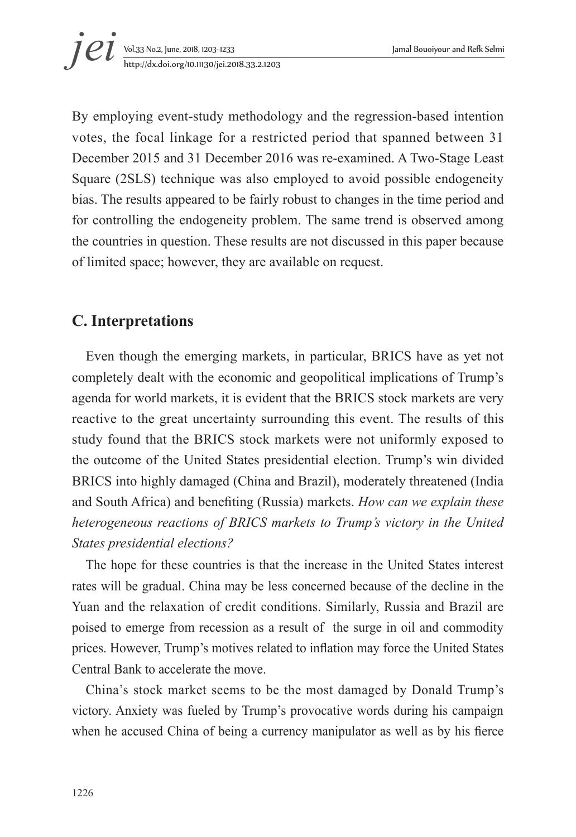

By employing event-study methodology and the regression-based intention votes, the focal linkage for a restricted period that spanned between 31 December 2015 and 31 December 2016 was re-examined. A Two-Stage Least Square (2SLS) technique was also employed to avoid possible endogeneity bias. The results appeared to be fairly robust to changes in the time period and for controlling the endogeneity problem. The same trend is observed among the countries in question. These results are not discussed in this paper because of limited space; however, they are available on request.

## **C. Interpretations**

Even though the emerging markets, in particular, BRICS have as yet not completely dealt with the economic and geopolitical implications of Trump's agenda for world markets, it is evident that the BRICS stock markets are very reactive to the great uncertainty surrounding this event. The results of this study found that the BRICS stock markets were not uniformly exposed to the outcome of the United States presidential election. Trump's win divided BRICS into highly damaged (China and Brazil), moderately threatened (India and South Africa) and benefiting (Russia) markets. *How can we explain these heterogeneous reactions of BRICS markets to Trump's victory in the United States presidential elections?*

The hope for these countries is that the increase in the United States interest rates will be gradual. China may be less concerned because of the decline in the Yuan and the relaxation of credit conditions. Similarly, Russia and Brazil are poised to emerge from recession as a result of the surge in oil and commodity prices. However, Trump's motives related to inflation may force the United States Central Bank to accelerate the move.

China's stock market seems to be the most damaged by Donald Trump's victory. Anxiety was fueled by Trump's provocative words during his campaign when he accused China of being a currency manipulator as well as by his fierce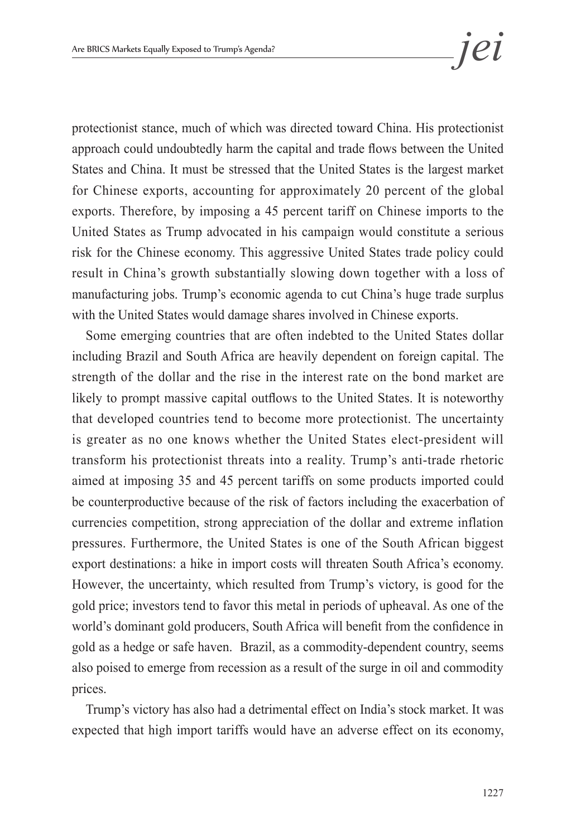protectionist stance, much of which was directed toward China. His protectionist approach could undoubtedly harm the capital and trade flows between the United States and China. It must be stressed that the United States is the largest market for Chinese exports, accounting for approximately 20 percent of the global exports. Therefore, by imposing a 45 percent tariff on Chinese imports to the United States as Trump advocated in his campaign would constitute a serious risk for the Chinese economy. This aggressive United States trade policy could result in China's growth substantially slowing down together with a loss of manufacturing jobs. Trump's economic agenda to cut China's huge trade surplus with the United States would damage shares involved in Chinese exports.

Some emerging countries that are often indebted to the United States dollar including Brazil and South Africa are heavily dependent on foreign capital. The strength of the dollar and the rise in the interest rate on the bond market are likely to prompt massive capital outflows to the United States. It is noteworthy that developed countries tend to become more protectionist. The uncertainty is greater as no one knows whether the United States elect-president will transform his protectionist threats into a reality. Trump's anti-trade rhetoric aimed at imposing 35 and 45 percent tariffs on some products imported could be counterproductive because of the risk of factors including the exacerbation of currencies competition, strong appreciation of the dollar and extreme inflation pressures. Furthermore, the United States is one of the South African biggest export destinations: a hike in import costs will threaten South Africa's economy. However, the uncertainty, which resulted from Trump's victory, is good for the gold price; investors tend to favor this metal in periods of upheaval. As one of the world's dominant gold producers, South Africa will benefit from the confidence in gold as a hedge or safe haven. Brazil, as a commodity-dependent country, seems also poised to emerge from recession as a result of the surge in oil and commodity prices.

Trump's victory has also had a detrimental effect on India's stock market. It was expected that high import tariffs would have an adverse effect on its economy,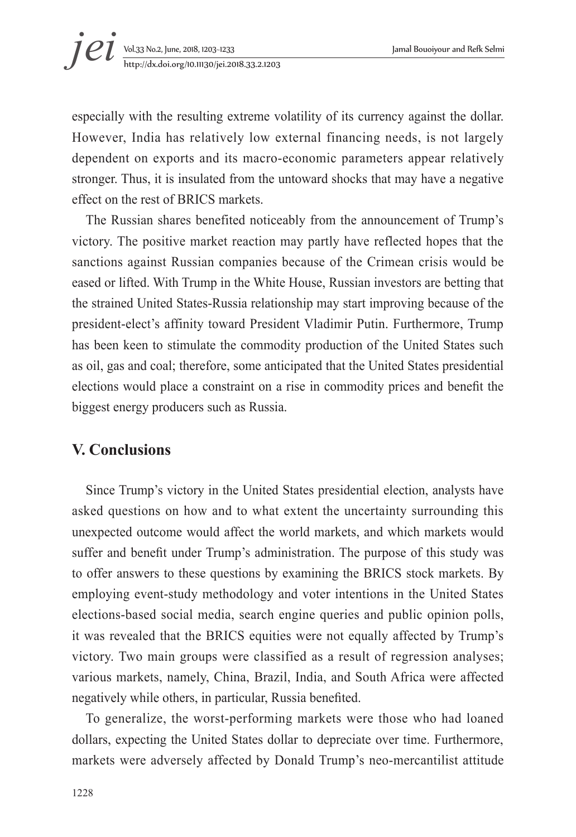especially with the resulting extreme volatility of its currency against the dollar. However, India has relatively low external financing needs, is not largely dependent on exports and its macro-economic parameters appear relatively stronger. Thus, it is insulated from the untoward shocks that may have a negative effect on the rest of BRICS markets.

The Russian shares benefited noticeably from the announcement of Trump's victory. The positive market reaction may partly have reflected hopes that the sanctions against Russian companies because of the Crimean crisis would be eased or lifted. With Trump in the White House, Russian investors are betting that the strained United States-Russia relationship may start improving because of the president-elect's affinity toward President Vladimir Putin. Furthermore, Trump has been keen to stimulate the commodity production of the United States such as oil, gas and coal; therefore, some anticipated that the United States presidential elections would place a constraint on a rise in commodity prices and benefit the biggest energy producers such as Russia.

## **V. Conclusions**

Since Trump's victory in the United States presidential election, analysts have asked questions on how and to what extent the uncertainty surrounding this unexpected outcome would affect the world markets, and which markets would suffer and benefit under Trump's administration. The purpose of this study was to offer answers to these questions by examining the BRICS stock markets. By employing event-study methodology and voter intentions in the United States elections-based social media, search engine queries and public opinion polls, it was revealed that the BRICS equities were not equally affected by Trump's victory. Two main groups were classified as a result of regression analyses; various markets, namely, China, Brazil, India, and South Africa were affected negatively while others, in particular, Russia benefited.

To generalize, the worst-performing markets were those who had loaned dollars, expecting the United States dollar to depreciate over time. Furthermore, markets were adversely affected by Donald Trump's neo-mercantilist attitude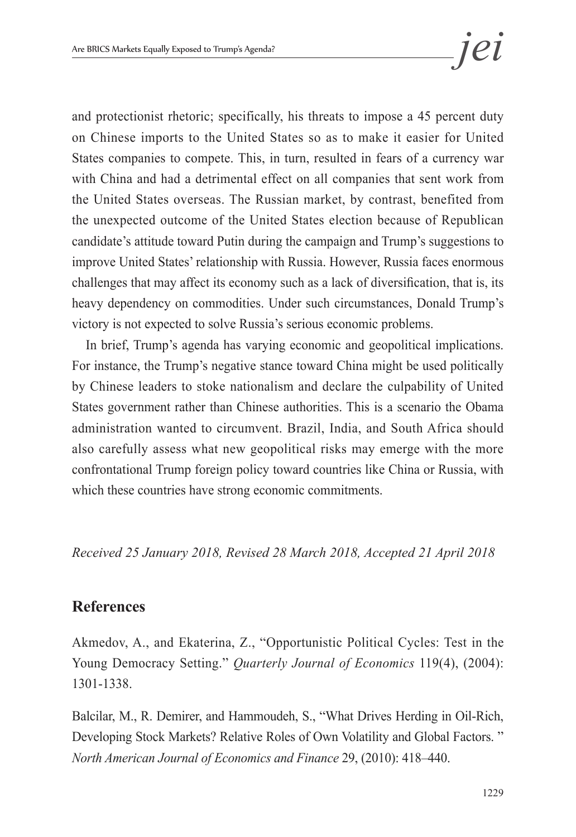and protectionist rhetoric; specifically, his threats to impose a 45 percent duty on Chinese imports to the United States so as to make it easier for United States companies to compete. This, in turn, resulted in fears of a currency war with China and had a detrimental effect on all companies that sent work from the United States overseas. The Russian market, by contrast, benefited from the unexpected outcome of the United States election because of Republican candidate's attitude toward Putin during the campaign and Trump's suggestions to improve United States' relationship with Russia. However, Russia faces enormous challenges that may affect its economy such as a lack of diversification, that is, its heavy dependency on commodities. Under such circumstances, Donald Trump's victory is not expected to solve Russia's serious economic problems.

In brief, Trump's agenda has varying economic and geopolitical implications. For instance, the Trump's negative stance toward China might be used politically by Chinese leaders to stoke nationalism and declare the culpability of United States government rather than Chinese authorities. This is a scenario the Obama administration wanted to circumvent. Brazil, India, and South Africa should also carefully assess what new geopolitical risks may emerge with the more confrontational Trump foreign policy toward countries like China or Russia, with which these countries have strong economic commitments.

*Received 25 January 2018, Revised 28 March 2018, Accepted 21 April 2018*

## **References**

Akmedov, A., and Ekaterina, Z., "Opportunistic Political Cycles: Test in the Young Democracy Setting." *Quarterly Journal of Economics* 119(4), (2004): 1301-1338.

Balcilar, M., R. Demirer, and Hammoudeh, S., "What Drives Herding in Oil-Rich, Developing Stock Markets? Relative Roles of Own Volatility and Global Factors. " *North American Journal of Economics and Finance* 29, (2010): 418–440.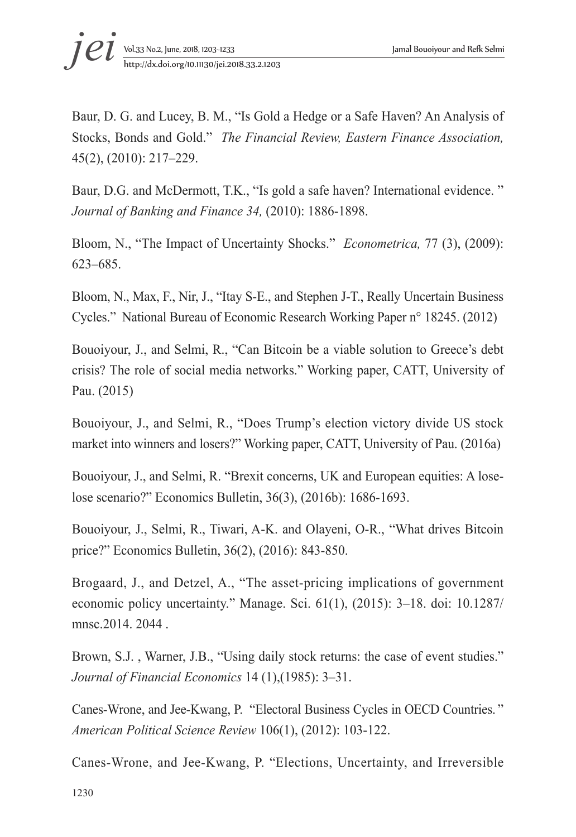Baur, D. G. and Lucey, B. M., "Is Gold a Hedge or a Safe Haven? An Analysis of Stocks, Bonds and Gold." *The Financial Review, Eastern Finance Association,*  45(2), (2010): 217–229.

Baur, D.G. and McDermott, T.K., "Is gold a safe haven? International evidence. " *Journal of Banking and Finance 34,* (2010): 1886-1898.

Bloom, N., "The Impact of Uncertainty Shocks." *Econometrica,* 77 (3), (2009): 623–685.

Bloom, N., Max, F., Nir, J., "Itay S-E., and Stephen J-T., Really Uncertain Business Cycles." National Bureau of Economic Research Working Paper n° 18245. (2012)

Bouoiyour, J., and Selmi, R., "Can Bitcoin be a viable solution to Greece's debt crisis? The role of social media networks." Working paper, CATT, University of Pau. (2015)

Bouoiyour, J., and Selmi, R., "Does Trump's election victory divide US stock market into winners and losers?" Working paper, CATT, University of Pau. (2016a)

Bouoiyour, J., and Selmi, R. "Brexit concerns, UK and European equities: A loselose scenario?" Economics Bulletin, 36(3), (2016b): 1686-1693.

Bouoiyour, J., Selmi, R., Tiwari, A-K. and Olayeni, O-R., "What drives Bitcoin price?" Economics Bulletin, 36(2), (2016): 843-850.

Brogaard, J., and Detzel, A., "The asset-pricing implications of government economic policy uncertainty." Manage. Sci. 61(1), (2015): 3–18. doi: 10.1287/ mnsc.2014. 2044.

Brown, S.J. , Warner, J.B., "Using daily stock returns: the case of event studies." *Journal of Financial Economics* 14 (1),(1985): 3–31.

Canes-Wrone, and Jee-Kwang, P. "Electoral Business Cycles in OECD Countries. " *American Political Science Review* 106(1), (2012): 103-122.

Canes-Wrone, and Jee-Kwang, P. "Elections, Uncertainty, and Irreversible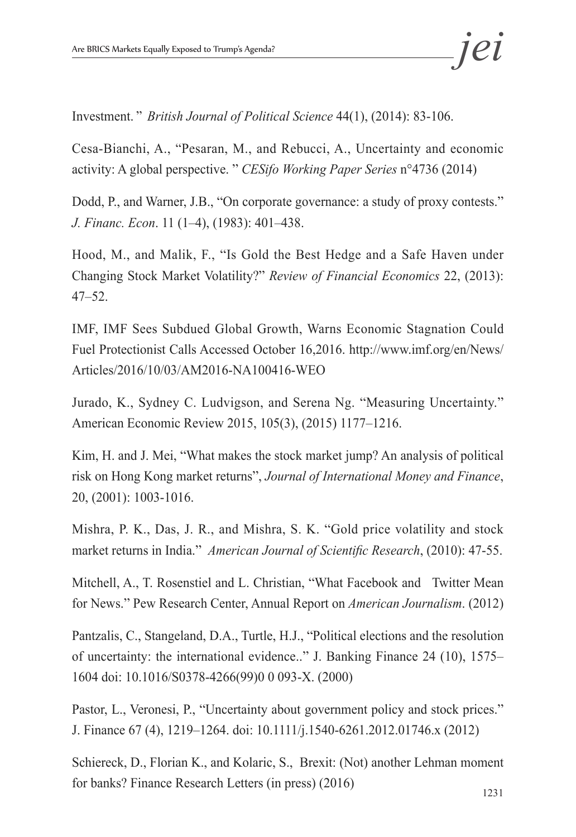Investment. " *British Journal of Political Science* 44(1), (2014): 83-106.

Cesa-Bianchi, A., "Pesaran, M., and Rebucci, A., Uncertainty and economic activity: A global perspective. " *CESifo Working Paper Series* n°4736 (2014)

Dodd, P., and Warner, J.B., "On corporate governance: a study of proxy contests." *J. Financ. Econ*. 11 (1–4), (1983): 401–438.

Hood, M., and Malik, F., "Is Gold the Best Hedge and a Safe Haven under Changing Stock Market Volatility?" *Review of Financial Economics* 22, (2013): 47–52.

IMF, IMF Sees Subdued Global Growth, Warns Economic Stagnation Could Fuel Protectionist Calls Accessed October 16,2016. http://www.imf.org/en/News/ Articles/2016/10/03/AM2016-NA100416-WEO

Jurado, K., Sydney C. Ludvigson, and Serena Ng. "Measuring Uncertainty." American Economic Review 2015, 105(3), (2015) 1177–1216.

Kim, H. and J. Mei, "What makes the stock market jump? An analysis of political risk on Hong Kong market returns", *Journal of International Money and Finance*, 20, (2001): 1003-1016.

Mishra, P. K., Das, J. R., and Mishra, S. K. "Gold price volatility and stock market returns in India." *American Journal of Scientific Research*, (2010): 47-55.

Mitchell, A., T. Rosenstiel and L. Christian, "What Facebook and Twitter Mean for News." Pew Research Center, Annual Report on *American Journalism*. (2012)

Pantzalis, C., Stangeland, D.A., Turtle, H.J., "Political elections and the resolution of uncertainty: the international evidence.." J. Banking Finance 24 (10), 1575– 1604 doi: 10.1016/S0378-4266(99)0 0 093-X. (2000)

Pastor, L., Veronesi, P., "Uncertainty about government policy and stock prices." J. Finance 67 (4), 1219–1264. doi: 10.1111/j.1540-6261.2012.01746.x (2012)

Schiereck, D., Florian K., and Kolaric, S., Brexit: (Not) another Lehman moment for banks? Finance Research Letters (in press) (2016)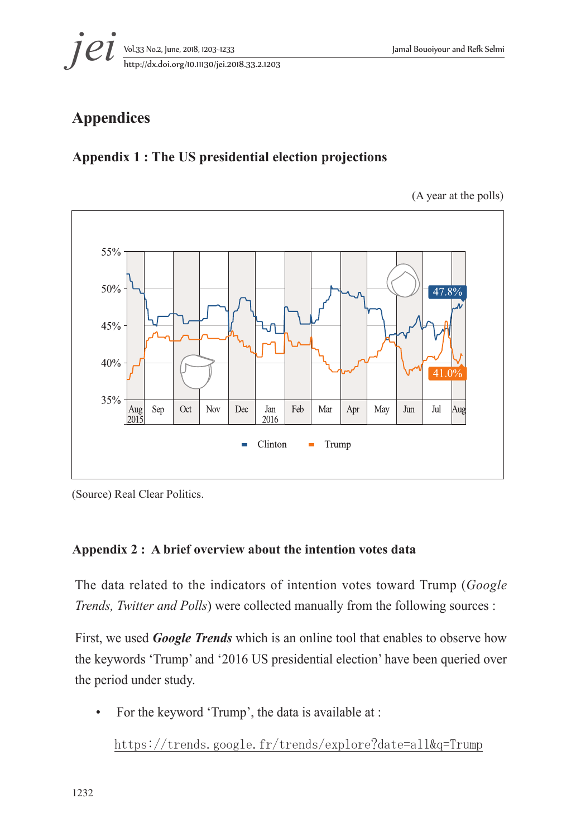

# **Appendices**

## **Appendix 1 : The US presidential election projections**

(A year at the polls)



<sup>(</sup>Source) Real Clear Politics.

#### **Appendix 2 : A brief overview about the intention votes data**

The data related to the indicators of intention votes toward Trump (*Google Trends, Twitter and Polls*) were collected manually from the following sources :

First, we used *Google Trends* which is an online tool that enables to observe how the keywords 'Trump' and '2016 US presidential election' have been queried over the period under study.

• For the keyword 'Trump', the data is available at :

https://trends.google.fr/trends/explore?date=all&q=Trump